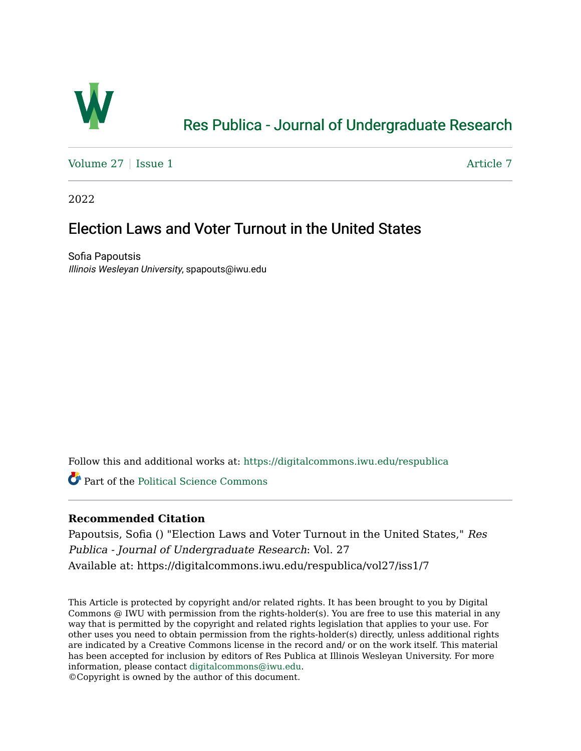

# [Res Publica - Journal of Undergraduate Research](https://digitalcommons.iwu.edu/respublica)

[Volume 27](https://digitalcommons.iwu.edu/respublica/vol27) | [Issue 1](https://digitalcommons.iwu.edu/respublica/vol27/iss1) Article 7

2022

# Election Laws and Voter Turnout in the United States

Sofia Papoutsis Illinois Wesleyan University, spapouts@iwu.edu

Follow this and additional works at: [https://digitalcommons.iwu.edu/respublica](https://digitalcommons.iwu.edu/respublica?utm_source=digitalcommons.iwu.edu%2Frespublica%2Fvol27%2Fiss1%2F7&utm_medium=PDF&utm_campaign=PDFCoverPages) 

Part of the [Political Science Commons](http://network.bepress.com/hgg/discipline/386?utm_source=digitalcommons.iwu.edu%2Frespublica%2Fvol27%2Fiss1%2F7&utm_medium=PDF&utm_campaign=PDFCoverPages)

# **Recommended Citation**

Papoutsis, Sofia () "Election Laws and Voter Turnout in the United States," Res Publica - Journal of Undergraduate Research: Vol. 27 Available at: https://digitalcommons.iwu.edu/respublica/vol27/iss1/7

This Article is protected by copyright and/or related rights. It has been brought to you by Digital Commons @ IWU with permission from the rights-holder(s). You are free to use this material in any way that is permitted by the copyright and related rights legislation that applies to your use. For other uses you need to obtain permission from the rights-holder(s) directly, unless additional rights are indicated by a Creative Commons license in the record and/ or on the work itself. This material has been accepted for inclusion by editors of Res Publica at Illinois Wesleyan University. For more information, please contact [digitalcommons@iwu.edu.](mailto:digitalcommons@iwu.edu)

©Copyright is owned by the author of this document.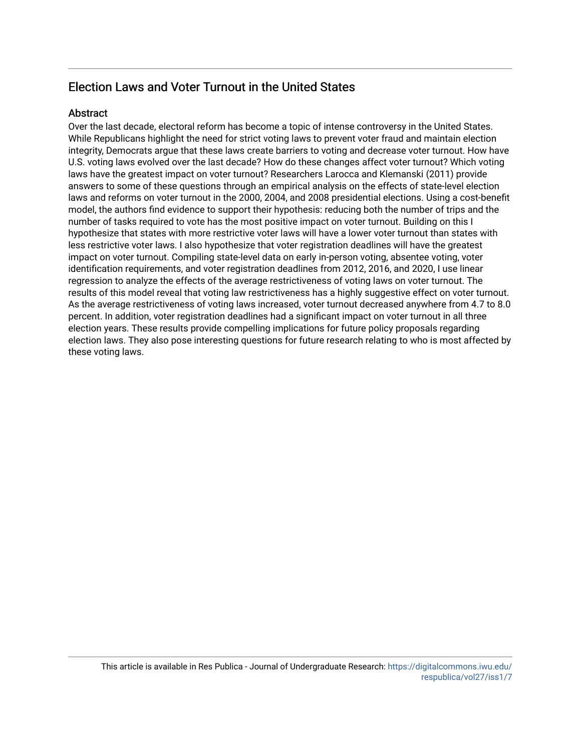# Election Laws and Voter Turnout in the United States

# **Abstract**

Over the last decade, electoral reform has become a topic of intense controversy in the United States. While Republicans highlight the need for strict voting laws to prevent voter fraud and maintain election integrity, Democrats argue that these laws create barriers to voting and decrease voter turnout. How have U.S. voting laws evolved over the last decade? How do these changes affect voter turnout? Which voting laws have the greatest impact on voter turnout? Researchers Larocca and Klemanski (2011) provide answers to some of these questions through an empirical analysis on the effects of state-level election laws and reforms on voter turnout in the 2000, 2004, and 2008 presidential elections. Using a cost-benefit model, the authors find evidence to support their hypothesis: reducing both the number of trips and the number of tasks required to vote has the most positive impact on voter turnout. Building on this I hypothesize that states with more restrictive voter laws will have a lower voter turnout than states with less restrictive voter laws. I also hypothesize that voter registration deadlines will have the greatest impact on voter turnout. Compiling state-level data on early in-person voting, absentee voting, voter identification requirements, and voter registration deadlines from 2012, 2016, and 2020, I use linear regression to analyze the effects of the average restrictiveness of voting laws on voter turnout. The results of this model reveal that voting law restrictiveness has a highly suggestive effect on voter turnout. As the average restrictiveness of voting laws increased, voter turnout decreased anywhere from 4.7 to 8.0 percent. In addition, voter registration deadlines had a significant impact on voter turnout in all three election years. These results provide compelling implications for future policy proposals regarding election laws. They also pose interesting questions for future research relating to who is most affected by these voting laws.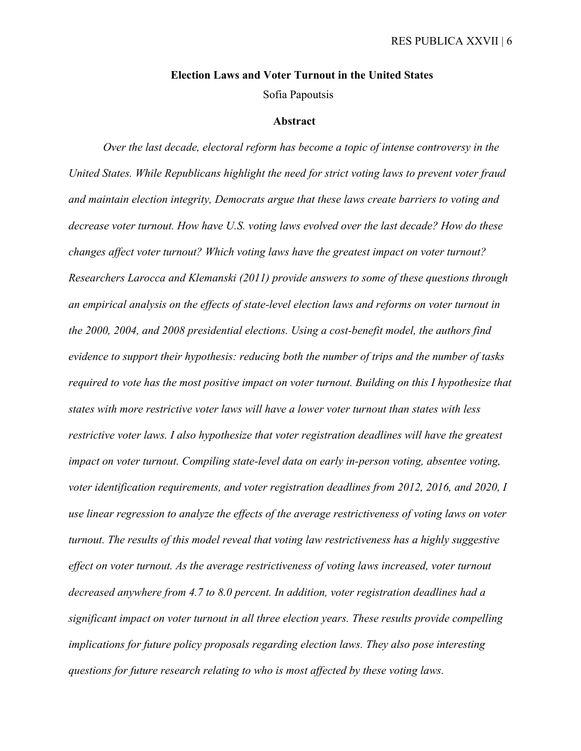# **Election Laws and Voter Turnout in the United States**

Sofia Papoutsis

### **Abstract**

*Over the last decade, electoral reform has become a topic of intense controversy in the United States. While Republicans highlight the need for strict voting laws to prevent voter fraud and maintain election integrity, Democrats argue that these laws create barriers to voting and decrease voter turnout. How have U.S. voting laws evolved over the last decade? How do these changes affect voter turnout? Which voting laws have the greatest impact on voter turnout? Researchers Larocca and Klemanski (2011) provide answers to some of these questions through an empirical analysis on the effects of state-level election laws and reforms on voter turnout in the 2000, 2004, and 2008 presidential elections. Using a cost-benefit model, the authors find evidence to support their hypothesis: reducing both the number of trips and the number of tasks required to vote has the most positive impact on voter turnout. Building on this I hypothesize that states with more restrictive voter laws will have a lower voter turnout than states with less restrictive voter laws. I also hypothesize that voter registration deadlines will have the greatest impact on voter turnout. Compiling state-level data on early in-person voting, absentee voting, voter identification requirements, and voter registration deadlines from 2012, 2016, and 2020, I use linear regression to analyze the effects of the average restrictiveness of voting laws on voter turnout. The results of this model reveal that voting law restrictiveness has a highly suggestive effect on voter turnout. As the average restrictiveness of voting laws increased, voter turnout decreased anywhere from 4.7 to 8.0 percent. In addition, voter registration deadlines had a significant impact on voter turnout in all three election years. These results provide compelling implications for future policy proposals regarding election laws. They also pose interesting questions for future research relating to who is most affected by these voting laws.*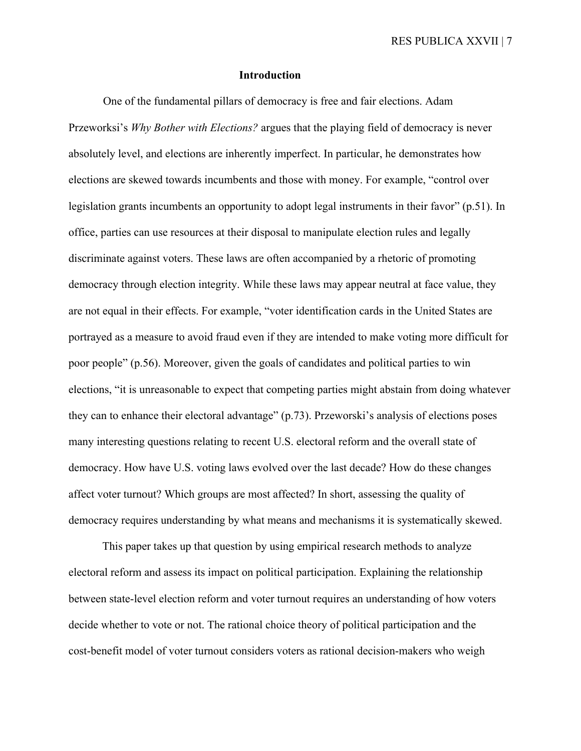## **Introduction**

One of the fundamental pillars of democracy is free and fair elections. Adam Przeworksi's *Why Bother with Elections?* argues that the playing field of democracy is never absolutely level, and elections are inherently imperfect. In particular, he demonstrates how elections are skewed towards incumbents and those with money. For example, "control over legislation grants incumbents an opportunity to adopt legal instruments in their favor" (p.51). In office, parties can use resources at their disposal to manipulate election rules and legally discriminate against voters. These laws are often accompanied by a rhetoric of promoting democracy through election integrity. While these laws may appear neutral at face value, they are not equal in their effects. For example, "voter identification cards in the United States are portrayed as a measure to avoid fraud even if they are intended to make voting more difficult for poor people" (p.56). Moreover, given the goals of candidates and political parties to win elections, "it is unreasonable to expect that competing parties might abstain from doing whatever they can to enhance their electoral advantage" (p.73). Przeworski's analysis of elections poses many interesting questions relating to recent U.S. electoral reform and the overall state of democracy. How have U.S. voting laws evolved over the last decade? How do these changes affect voter turnout? Which groups are most affected? In short, assessing the quality of democracy requires understanding by what means and mechanisms it is systematically skewed.

This paper takes up that question by using empirical research methods to analyze electoral reform and assess its impact on political participation. Explaining the relationship between state-level election reform and voter turnout requires an understanding of how voters decide whether to vote or not. The rational choice theory of political participation and the cost-benefit model of voter turnout considers voters as rational decision-makers who weigh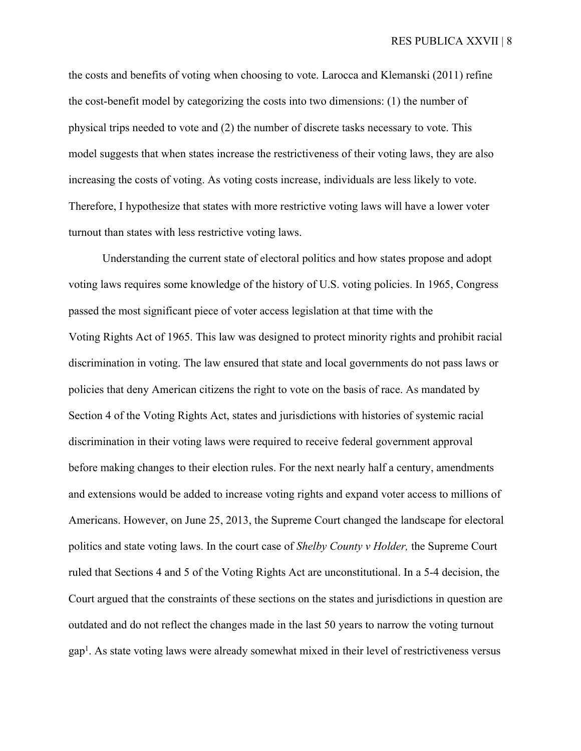the costs and benefits of voting when choosing to vote. Larocca and Klemanski (2011) refine the cost-benefit model by categorizing the costs into two dimensions: (1) the number of physical trips needed to vote and (2) the number of discrete tasks necessary to vote. This model suggests that when states increase the restrictiveness of their voting laws, they are also increasing the costs of voting. As voting costs increase, individuals are less likely to vote. Therefore, I hypothesize that states with more restrictive voting laws will have a lower voter turnout than states with less restrictive voting laws.

Understanding the current state of electoral politics and how states propose and adopt voting laws requires some knowledge of the history of U.S. voting policies. In 1965, Congress passed the most significant piece of voter access legislation at that time with the Voting Rights Act of 1965. This law was designed to protect minority rights and prohibit racial discrimination in voting. The law ensured that state and local governments do not pass laws or policies that deny American citizens the right to vote on the basis of race. As mandated by Section 4 of the Voting Rights Act, states and jurisdictions with histories of systemic racial discrimination in their voting laws were required to receive federal government approval before making changes to their election rules. For the next nearly half a century, amendments and extensions would be added to increase voting rights and expand voter access to millions of Americans. However, on June 25, 2013, the Supreme Court changed the landscape for electoral politics and state voting laws. In the court case of *Shelby County v Holder,* the Supreme Court ruled that Sections 4 and 5 of the Voting Rights Act are unconstitutional. In a 5-4 decision, the Court argued that the constraints of these sections on the states and jurisdictions in question are outdated and do not reflect the changes made in the last 50 years to narrow the voting turnout gap<sup>1</sup>. As state voting laws were already somewhat mixed in their level of restrictiveness versus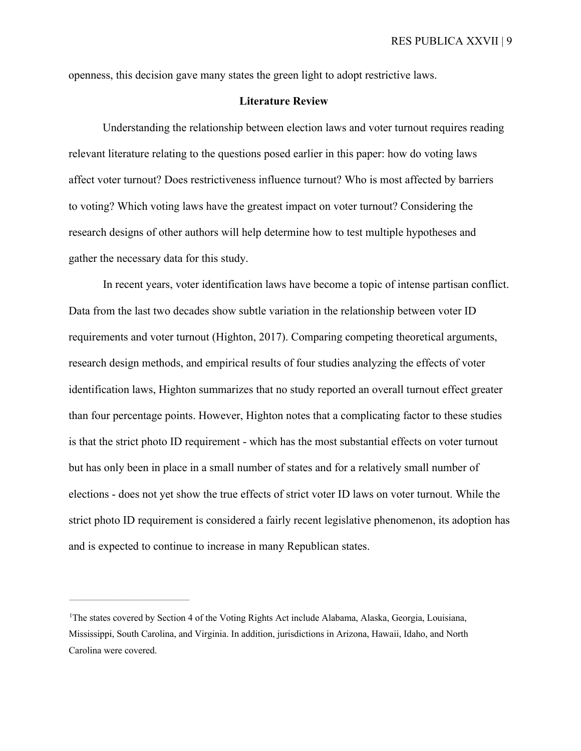openness, this decision gave many states the green light to adopt restrictive laws.

# **Literature Review**

Understanding the relationship between election laws and voter turnout requires reading relevant literature relating to the questions posed earlier in this paper: how do voting laws affect voter turnout? Does restrictiveness influence turnout? Who is most affected by barriers to voting? Which voting laws have the greatest impact on voter turnout? Considering the research designs of other authors will help determine how to test multiple hypotheses and gather the necessary data for this study.

In recent years, voter identification laws have become a topic of intense partisan conflict. Data from the last two decades show subtle variation in the relationship between voter ID requirements and voter turnout (Highton, 2017). Comparing competing theoretical arguments, research design methods, and empirical results of four studies analyzing the effects of voter identification laws, Highton summarizes that no study reported an overall turnout effect greater than four percentage points. However, Highton notes that a complicating factor to these studies is that the strict photo ID requirement - which has the most substantial effects on voter turnout but has only been in place in a small number of states and for a relatively small number of elections - does not yet show the true effects of strict voter ID laws on voter turnout. While the strict photo ID requirement is considered a fairly recent legislative phenomenon, its adoption has and is expected to continue to increase in many Republican states.

<sup>&</sup>lt;sup>1</sup>The states covered by Section 4 of the Voting Rights Act include Alabama, Alaska, Georgia, Louisiana, Mississippi, South Carolina, and Virginia. In addition, jurisdictions in Arizona, Hawaii, Idaho, and North Carolina were covered.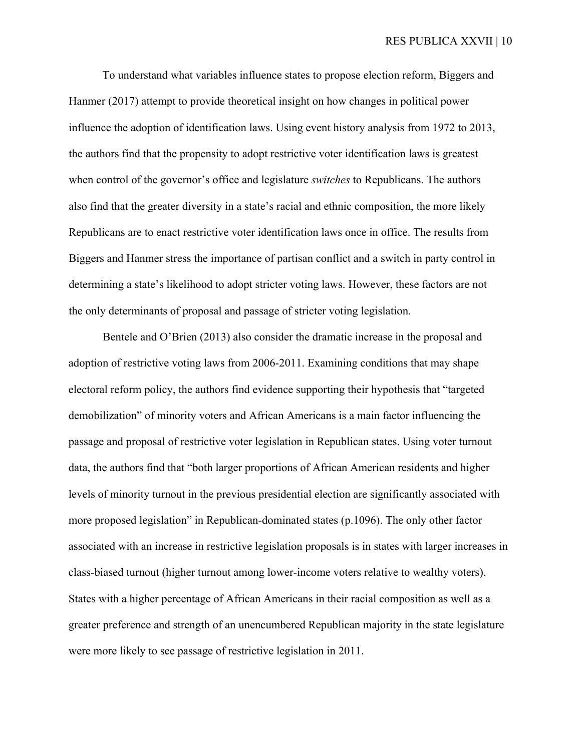To understand what variables influence states to propose election reform, Biggers and Hanmer (2017) attempt to provide theoretical insight on how changes in political power influence the adoption of identification laws. Using event history analysis from 1972 to 2013, the authors find that the propensity to adopt restrictive voter identification laws is greatest when control of the governor's office and legislature *switches* to Republicans. The authors also find that the greater diversity in a state's racial and ethnic composition, the more likely Republicans are to enact restrictive voter identification laws once in office. The results from Biggers and Hanmer stress the importance of partisan conflict and a switch in party control in determining a state's likelihood to adopt stricter voting laws. However, these factors are not the only determinants of proposal and passage of stricter voting legislation.

Bentele and O'Brien (2013) also consider the dramatic increase in the proposal and adoption of restrictive voting laws from 2006-2011. Examining conditions that may shape electoral reform policy, the authors find evidence supporting their hypothesis that "targeted demobilization" of minority voters and African Americans is a main factor influencing the passage and proposal of restrictive voter legislation in Republican states. Using voter turnout data, the authors find that "both larger proportions of African American residents and higher levels of minority turnout in the previous presidential election are significantly associated with more proposed legislation" in Republican-dominated states (p.1096). The only other factor associated with an increase in restrictive legislation proposals is in states with larger increases in class-biased turnout (higher turnout among lower-income voters relative to wealthy voters). States with a higher percentage of African Americans in their racial composition as well as a greater preference and strength of an unencumbered Republican majority in the state legislature were more likely to see passage of restrictive legislation in 2011.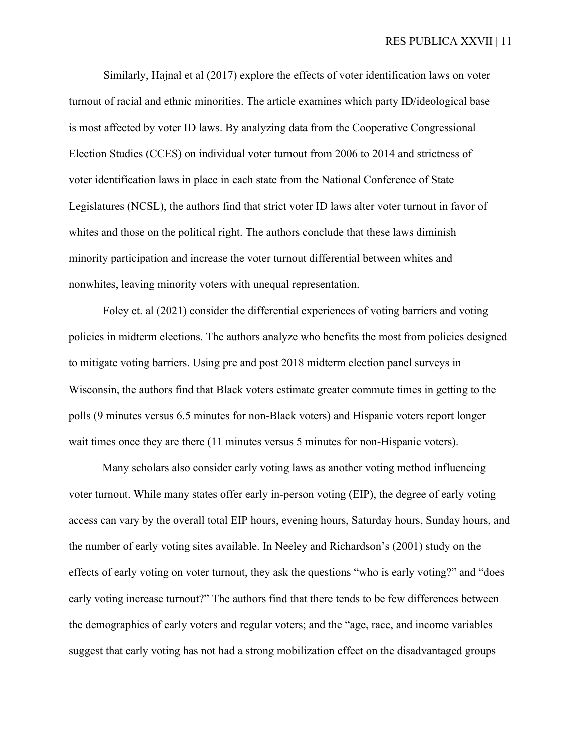Similarly, Hajnal et al (2017) explore the effects of voter identification laws on voter turnout of racial and ethnic minorities. The article examines which party ID/ideological base is most affected by voter ID laws. By analyzing data from the Cooperative Congressional Election Studies (CCES) on individual voter turnout from 2006 to 2014 and strictness of voter identification laws in place in each state from the National Conference of State Legislatures (NCSL), the authors find that strict voter ID laws alter voter turnout in favor of whites and those on the political right. The authors conclude that these laws diminish minority participation and increase the voter turnout differential between whites and nonwhites, leaving minority voters with unequal representation.

Foley et. al (2021) consider the differential experiences of voting barriers and voting policies in midterm elections. The authors analyze who benefits the most from policies designed to mitigate voting barriers. Using pre and post 2018 midterm election panel surveys in Wisconsin, the authors find that Black voters estimate greater commute times in getting to the polls (9 minutes versus 6.5 minutes for non-Black voters) and Hispanic voters report longer wait times once they are there (11 minutes versus 5 minutes for non-Hispanic voters).

Many scholars also consider early voting laws as another voting method influencing voter turnout. While many states offer early in-person voting (EIP), the degree of early voting access can vary by the overall total EIP hours, evening hours, Saturday hours, Sunday hours, and the number of early voting sites available. In Neeley and Richardson's (2001) study on the effects of early voting on voter turnout, they ask the questions "who is early voting?" and "does early voting increase turnout?" The authors find that there tends to be few differences between the demographics of early voters and regular voters; and the "age, race, and income variables suggest that early voting has not had a strong mobilization effect on the disadvantaged groups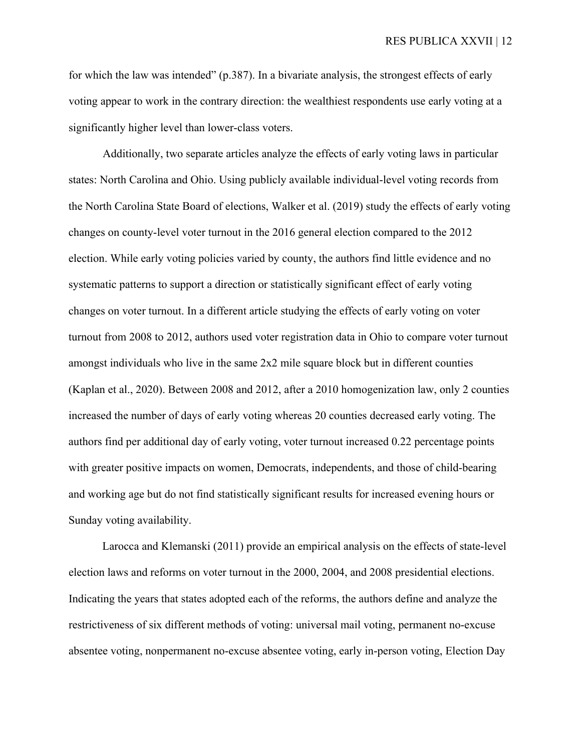for which the law was intended" (p.387). In a bivariate analysis, the strongest effects of early voting appear to work in the contrary direction: the wealthiest respondents use early voting at a significantly higher level than lower-class voters.

Additionally, two separate articles analyze the effects of early voting laws in particular states: North Carolina and Ohio. Using publicly available individual-level voting records from the North Carolina State Board of elections, Walker et al. (2019) study the effects of early voting changes on county-level voter turnout in the 2016 general election compared to the 2012 election. While early voting policies varied by county, the authors find little evidence and no systematic patterns to support a direction or statistically significant effect of early voting changes on voter turnout. In a different article studying the effects of early voting on voter turnout from 2008 to 2012, authors used voter registration data in Ohio to compare voter turnout amongst individuals who live in the same 2x2 mile square block but in different counties (Kaplan et al., 2020). Between 2008 and 2012, after a 2010 homogenization law, only 2 counties increased the number of days of early voting whereas 20 counties decreased early voting. The authors find per additional day of early voting, voter turnout increased 0.22 percentage points with greater positive impacts on women, Democrats, independents, and those of child-bearing and working age but do not find statistically significant results for increased evening hours or Sunday voting availability.

Larocca and Klemanski (2011) provide an empirical analysis on the effects of state-level election laws and reforms on voter turnout in the 2000, 2004, and 2008 presidential elections. Indicating the years that states adopted each of the reforms, the authors define and analyze the restrictiveness of six different methods of voting: universal mail voting, permanent no-excuse absentee voting, nonpermanent no-excuse absentee voting, early in-person voting, Election Day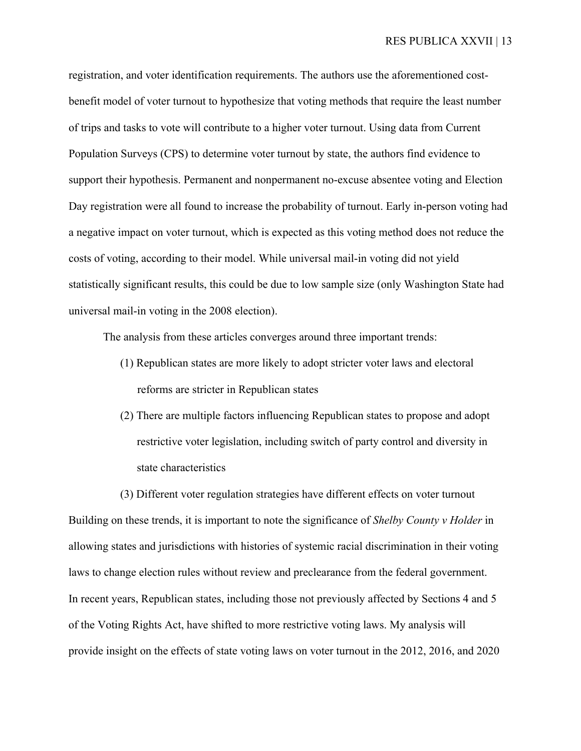registration, and voter identification requirements. The authors use the aforementioned costbenefit model of voter turnout to hypothesize that voting methods that require the least number of trips and tasks to vote will contribute to a higher voter turnout. Using data from Current Population Surveys (CPS) to determine voter turnout by state, the authors find evidence to support their hypothesis. Permanent and nonpermanent no-excuse absentee voting and Election Day registration were all found to increase the probability of turnout. Early in-person voting had a negative impact on voter turnout, which is expected as this voting method does not reduce the costs of voting, according to their model. While universal mail-in voting did not yield statistically significant results, this could be due to low sample size (only Washington State had universal mail-in voting in the 2008 election).

The analysis from these articles converges around three important trends:

- (1) Republican states are more likely to adopt stricter voter laws and electoral reforms are stricter in Republican states
- (2) There are multiple factors influencing Republican states to propose and adopt restrictive voter legislation, including switch of party control and diversity in state characteristics

(3) Different voter regulation strategies have different effects on voter turnout Building on these trends, it is important to note the significance of *Shelby County v Holder* in allowing states and jurisdictions with histories of systemic racial discrimination in their voting laws to change election rules without review and preclearance from the federal government. In recent years, Republican states, including those not previously affected by Sections 4 and 5 of the Voting Rights Act, have shifted to more restrictive voting laws. My analysis will provide insight on the effects of state voting laws on voter turnout in the 2012, 2016, and 2020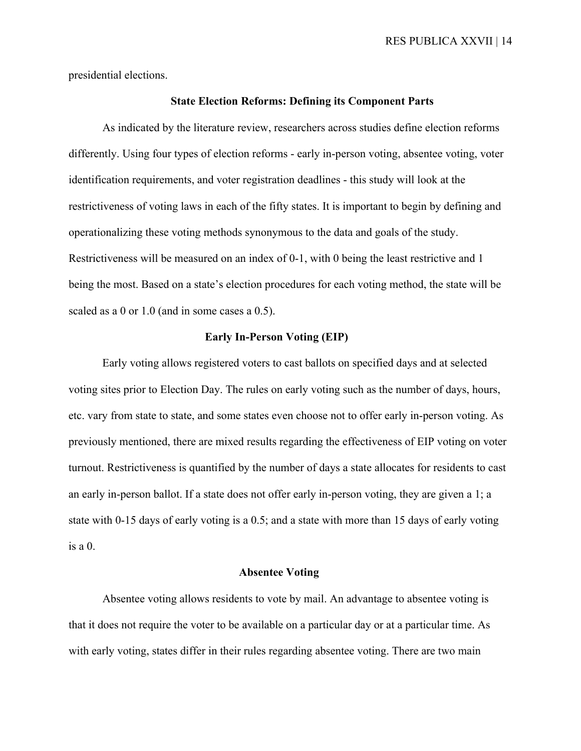presidential elections.

# **State Election Reforms: Defining its Component Parts**

As indicated by the literature review, researchers across studies define election reforms differently. Using four types of election reforms - early in-person voting, absentee voting, voter identification requirements, and voter registration deadlines - this study will look at the restrictiveness of voting laws in each of the fifty states. It is important to begin by defining and operationalizing these voting methods synonymous to the data and goals of the study. Restrictiveness will be measured on an index of 0-1, with 0 being the least restrictive and 1 being the most. Based on a state's election procedures for each voting method, the state will be scaled as a 0 or 1.0 (and in some cases a 0.5).

### **Early In-Person Voting (EIP)**

Early voting allows registered voters to cast ballots on specified days and at selected voting sites prior to Election Day. The rules on early voting such as the number of days, hours, etc. vary from state to state, and some states even choose not to offer early in-person voting. As previously mentioned, there are mixed results regarding the effectiveness of EIP voting on voter turnout. Restrictiveness is quantified by the number of days a state allocates for residents to cast an early in-person ballot. If a state does not offer early in-person voting, they are given a 1; a state with 0-15 days of early voting is a 0.5; and a state with more than 15 days of early voting is a 0.

## **Absentee Voting**

Absentee voting allows residents to vote by mail. An advantage to absentee voting is that it does not require the voter to be available on a particular day or at a particular time. As with early voting, states differ in their rules regarding absentee voting. There are two main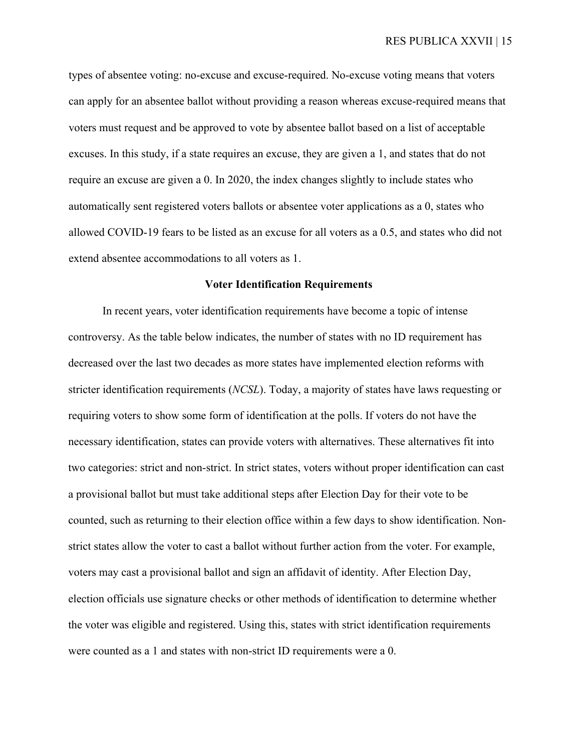types of absentee voting: no-excuse and excuse-required. No-excuse voting means that voters can apply for an absentee ballot without providing a reason whereas excuse-required means that voters must request and be approved to vote by absentee ballot based on a list of acceptable excuses. In this study, if a state requires an excuse, they are given a 1, and states that do not require an excuse are given a 0. In 2020, the index changes slightly to include states who automatically sent registered voters ballots or absentee voter applications as a 0, states who allowed COVID-19 fears to be listed as an excuse for all voters as a 0.5, and states who did not extend absentee accommodations to all voters as 1.

### **Voter Identification Requirements**

In recent years, voter identification requirements have become a topic of intense controversy. As the table below indicates, the number of states with no ID requirement has decreased over the last two decades as more states have implemented election reforms with stricter identification requirements (*NCSL*). Today, a majority of states have laws requesting or requiring voters to show some form of identification at the polls. If voters do not have the necessary identification, states can provide voters with alternatives. These alternatives fit into two categories: strict and non-strict. In strict states, voters without proper identification can cast a provisional ballot but must take additional steps after Election Day for their vote to be counted, such as returning to their election office within a few days to show identification. Nonstrict states allow the voter to cast a ballot without further action from the voter. For example, voters may cast a provisional ballot and sign an affidavit of identity. After Election Day, election officials use signature checks or other methods of identification to determine whether the voter was eligible and registered. Using this, states with strict identification requirements were counted as a 1 and states with non-strict ID requirements were a 0.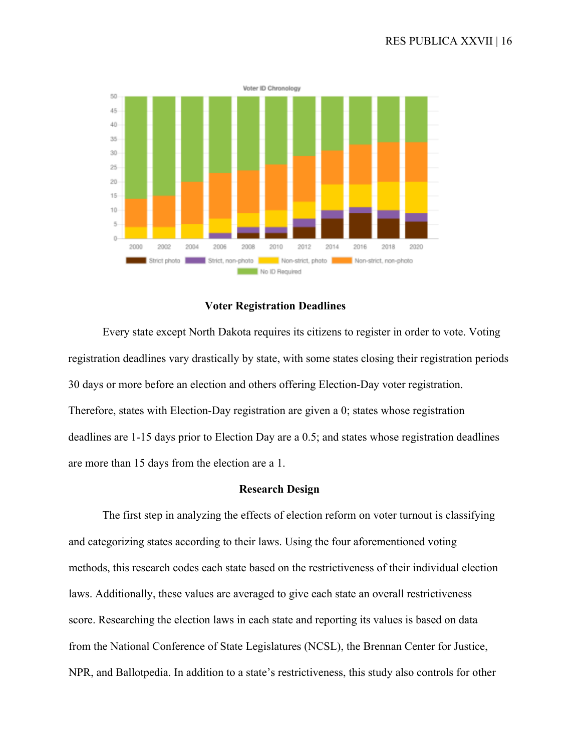

### **Voter Registration Deadlines**

Every state except North Dakota requires its citizens to register in order to vote. Voting registration deadlines vary drastically by state, with some states closing their registration periods 30 days or more before an election and others offering Election-Day voter registration. Therefore, states with Election-Day registration are given a 0; states whose registration deadlines are 1-15 days prior to Election Day are a 0.5; and states whose registration deadlines are more than 15 days from the election are a 1.

### **Research Design**

The first step in analyzing the effects of election reform on voter turnout is classifying and categorizing states according to their laws. Using the four aforementioned voting methods, this research codes each state based on the restrictiveness of their individual election laws. Additionally, these values are averaged to give each state an overall restrictiveness score. Researching the election laws in each state and reporting its values is based on data from the National Conference of State Legislatures (NCSL), the Brennan Center for Justice, NPR, and Ballotpedia. In addition to a state's restrictiveness, this study also controls for other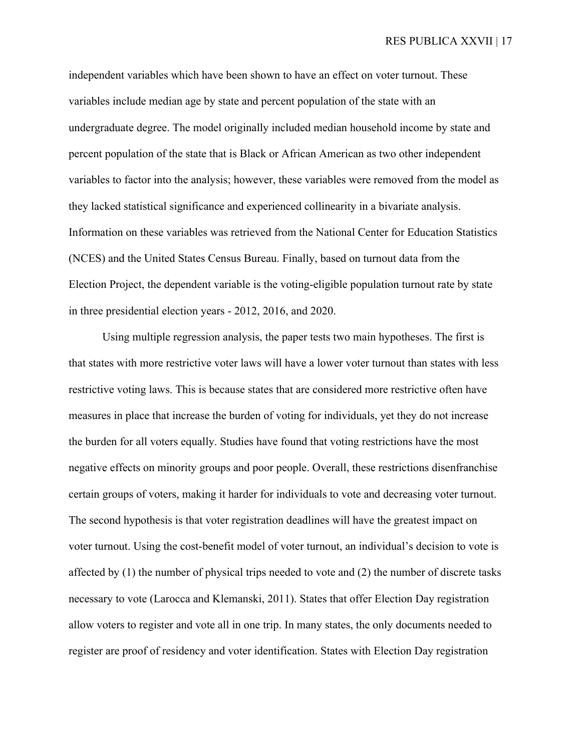independent variables which have been shown to have an effect on voter turnout. These variables include median age by state and percent population of the state with an undergraduate degree. The model originally included median household income by state and percent population of the state that is Black or African American as two other independent variables to factor into the analysis; however, these variables were removed from the model as they lacked statistical significance and experienced collinearity in a bivariate analysis. Information on these variables was retrieved from the National Center for Education Statistics (NCES) and the United States Census Bureau. Finally, based on turnout data from the Election Project, the dependent variable is the voting-eligible population turnout rate by state in three presidential election years - 2012, 2016, and 2020.

Using multiple regression analysis, the paper tests two main hypotheses. The first is that states with more restrictive voter laws will have a lower voter turnout than states with less restrictive voting laws. This is because states that are considered more restrictive often have measures in place that increase the burden of voting for individuals, yet they do not increase the burden for all voters equally. Studies have found that voting restrictions have the most negative effects on minority groups and poor people. Overall, these restrictions disenfranchise certain groups of voters, making it harder for individuals to vote and decreasing voter turnout. The second hypothesis is that voter registration deadlines will have the greatest impact on voter turnout. Using the cost-benefit model of voter turnout, an individual's decision to vote is affected by (1) the number of physical trips needed to vote and (2) the number of discrete tasks necessary to vote (Larocca and Klemanski, 2011). States that offer Election Day registration allow voters to register and vote all in one trip. In many states, the only documents needed to register are proof of residency and voter identification. States with Election Day registration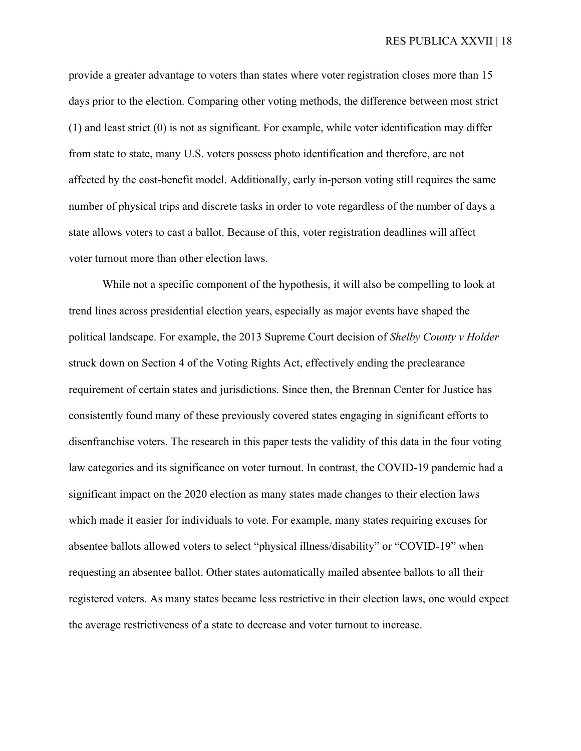provide a greater advantage to voters than states where voter registration closes more than 15 days prior to the election. Comparing other voting methods, the difference between most strict (1) and least strict (0) is not as significant. For example, while voter identification may differ from state to state, many U.S. voters possess photo identification and therefore, are not affected by the cost-benefit model. Additionally, early in-person voting still requires the same number of physical trips and discrete tasks in order to vote regardless of the number of days a state allows voters to cast a ballot. Because of this, voter registration deadlines will affect voter turnout more than other election laws.

While not a specific component of the hypothesis, it will also be compelling to look at trend lines across presidential election years, especially as major events have shaped the political landscape. For example, the 2013 Supreme Court decision of *Shelby County v Holder*  struck down on Section 4 of the Voting Rights Act, effectively ending the preclearance requirement of certain states and jurisdictions. Since then, the Brennan Center for Justice has consistently found many of these previously covered states engaging in significant efforts to disenfranchise voters. The research in this paper tests the validity of this data in the four voting law categories and its significance on voter turnout. In contrast, the COVID-19 pandemic had a significant impact on the 2020 election as many states made changes to their election laws which made it easier for individuals to vote. For example, many states requiring excuses for absentee ballots allowed voters to select "physical illness/disability" or "COVID-19" when requesting an absentee ballot. Other states automatically mailed absentee ballots to all their registered voters. As many states became less restrictive in their election laws, one would expect the average restrictiveness of a state to decrease and voter turnout to increase.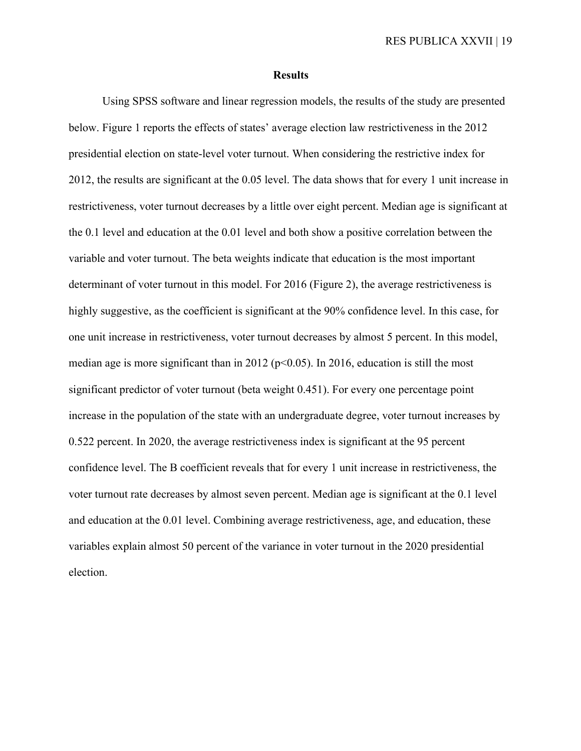### **Results**

Using SPSS software and linear regression models, the results of the study are presented below. Figure 1 reports the effects of states' average election law restrictiveness in the 2012 presidential election on state-level voter turnout. When considering the restrictive index for 2012, the results are significant at the 0.05 level. The data shows that for every 1 unit increase in restrictiveness, voter turnout decreases by a little over eight percent. Median age is significant at the 0.1 level and education at the 0.01 level and both show a positive correlation between the variable and voter turnout. The beta weights indicate that education is the most important determinant of voter turnout in this model. For 2016 (Figure 2), the average restrictiveness is highly suggestive, as the coefficient is significant at the 90% confidence level. In this case, for one unit increase in restrictiveness, voter turnout decreases by almost 5 percent. In this model, median age is more significant than in 2012 ( $p<0.05$ ). In 2016, education is still the most significant predictor of voter turnout (beta weight 0.451). For every one percentage point increase in the population of the state with an undergraduate degree, voter turnout increases by 0.522 percent. In 2020, the average restrictiveness index is significant at the 95 percent confidence level. The B coefficient reveals that for every 1 unit increase in restrictiveness, the voter turnout rate decreases by almost seven percent. Median age is significant at the 0.1 level and education at the 0.01 level. Combining average restrictiveness, age, and education, these variables explain almost 50 percent of the variance in voter turnout in the 2020 presidential election.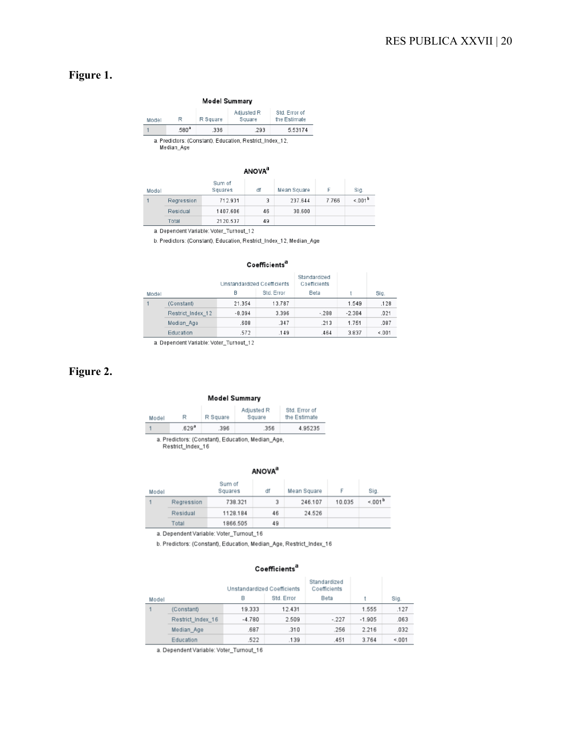# **Figure 1.**

| Model | R                 | R Square | Adjusted R<br>Square | Std. Error of<br>the Estimate |
|-------|-------------------|----------|----------------------|-------------------------------|
|       | .580 <sup>a</sup> | .336     | .293                 | 5.53174                       |

Median\_Age

#### **ANOVA**<sup>a</sup>

| Model |            | Sum of<br>Squares | df | Mean Square | F     | Sig.               |
|-------|------------|-------------------|----|-------------|-------|--------------------|
|       | Regression | 712.931           |    | 237.644     | 7.766 | < 001 <sup>b</sup> |
|       | Residual   | 1407.606          | 46 | 30.600      |       |                    |
|       | Total      | 2120.537          | 49 |             |       |                    |

a. Dependent Variable: Voter\_Turnout\_12

b. Predictors: (Constant), Education, Restrict\_Index\_12, Median\_Age

### Coefficients<sup>a</sup>

|       |                   | Unstandardized Coefficients |            | Standardized<br>Coefficients |          |       |
|-------|-------------------|-----------------------------|------------|------------------------------|----------|-------|
| Model |                   | в                           | Std. Error | Beta                         |          | Sig.  |
|       | (Constant)        | 21.354                      | 13.787     |                              | 1.549    | .128  |
|       | Restrict Index 12 | $-8.094$                    | 3.396      | $-.288$                      | $-2.384$ | .021  |
|       | Median Age        | .608                        | .347       | .213                         | 1.751    | .087  |
|       | Education         | .572                        | .149       | .464                         | 3.837    | < 001 |
|       |                   |                             |            |                              |          |       |

a. Dependent Variable: Voter\_Turnout\_12

# **Figure 2.**

#### **Model Summary**

| Model | R                | R Square | Adjusted R<br>Square                               | Std. Error of<br>the Estimate |
|-------|------------------|----------|----------------------------------------------------|-------------------------------|
|       | 629 <sup>a</sup> | .396     | .356                                               | 4.95235                       |
|       |                  |          | a. Predictors: (Constant), Education, Median, Age, |                               |

a. Predictors: (Consta<br>Restrict\_Index\_16

### **ANOVA**<sup>a</sup>

| Model |            | Sum of<br>Squares | df | Mean Square |        | Sig.               |
|-------|------------|-------------------|----|-------------|--------|--------------------|
|       | Regression | 738.321           | 3  | 246.107     | 10.035 | < 001 <sup>b</sup> |
|       | Residual   | 1128.184          | 46 | 24.526      |        |                    |
|       | Total      | 1866.505          | 49 |             |        |                    |

a. Dependent Variable: Voter\_Turnout\_16

b. Predictors: (Constant), Education, Median\_Age, Restrict\_Index\_16

### Coefficients<sup>a</sup>

|       |                   | Unstandardized Coefficients |            | Standardized<br>Coefficients |          |       |
|-------|-------------------|-----------------------------|------------|------------------------------|----------|-------|
| Model |                   | B                           | Std. Error | Beta                         |          | Sig.  |
|       | (Constant)        | 19.333                      | 12.431     |                              | 1.555    | .127  |
|       | Restrict Index 16 | $-4.780$                    | 2.509      | $-227$                       | $-1.905$ | .063  |
|       | Median Age        | .687                        | .310       | .256                         | 2.216    | .032  |
|       | Education         | 522                         | .139       | 451                          | 3.764    | < 001 |

a. Dependent Variable: Voter\_Turnout\_16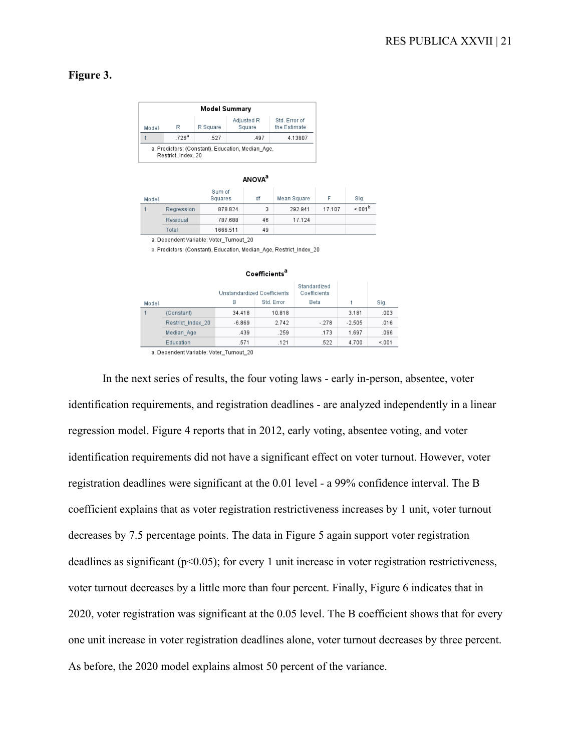## **Figure 3.**

| Model Summary |                   |          |                      |                               |  |  |  |
|---------------|-------------------|----------|----------------------|-------------------------------|--|--|--|
| Model         | R                 | R Square | Adjusted R<br>Square | Std. Error of<br>the Estimate |  |  |  |
|               | .726 <sup>a</sup> | .527     | .497                 | 4.13807                       |  |  |  |

### **ANOVA**<sup>a</sup>

| Model |            | Sum of<br>Squares | df | Mean Square | F      | Sig.               |
|-------|------------|-------------------|----|-------------|--------|--------------------|
|       | Regression | 878.824           | 3  | 292.941     | 17.107 | < 001 <sup>b</sup> |
|       | Residual   | 787.688           | 46 | 17.124      |        |                    |
|       | Total      | 1666.511          | 49 |             |        |                    |

a. Dependent Variable: Voter\_Turnout\_20

b. Predictors: (Constant), Education, Median Age, Restrict Index 20

|       |                   |                             | Coefficients <sup>a</sup> |                              |          |       |
|-------|-------------------|-----------------------------|---------------------------|------------------------------|----------|-------|
|       |                   | Unstandardized Coefficients |                           | Standardized<br>Coefficients |          |       |
| Model |                   | B                           | Std. Error                | Beta                         |          | Sig.  |
|       | (Constant)        | 34.418                      | 10.818                    |                              | 3.181    | .003  |
|       | Restrict_Index_20 | $-6.869$                    | 2.742                     | $-.278$                      | $-2.505$ | .016  |
|       | Median Age        | .439                        | .259                      | .173                         | 1.697    | .096  |
|       | Education         | 571                         | .121                      | 522                          | 4.700    | < 001 |

a. Dependent Variable: Voter\_Turnout\_20

In the next series of results, the four voting laws - early in-person, absentee, voter identification requirements, and registration deadlines - are analyzed independently in a linear regression model. Figure 4 reports that in 2012, early voting, absentee voting, and voter identification requirements did not have a significant effect on voter turnout. However, voter registration deadlines were significant at the 0.01 level - a 99% confidence interval. The B coefficient explains that as voter registration restrictiveness increases by 1 unit, voter turnout decreases by 7.5 percentage points. The data in Figure 5 again support voter registration deadlines as significant (p<0.05); for every 1 unit increase in voter registration restrictiveness, voter turnout decreases by a little more than four percent. Finally, Figure 6 indicates that in 2020, voter registration was significant at the 0.05 level. The B coefficient shows that for every one unit increase in voter registration deadlines alone, voter turnout decreases by three percent. As before, the 2020 model explains almost 50 percent of the variance.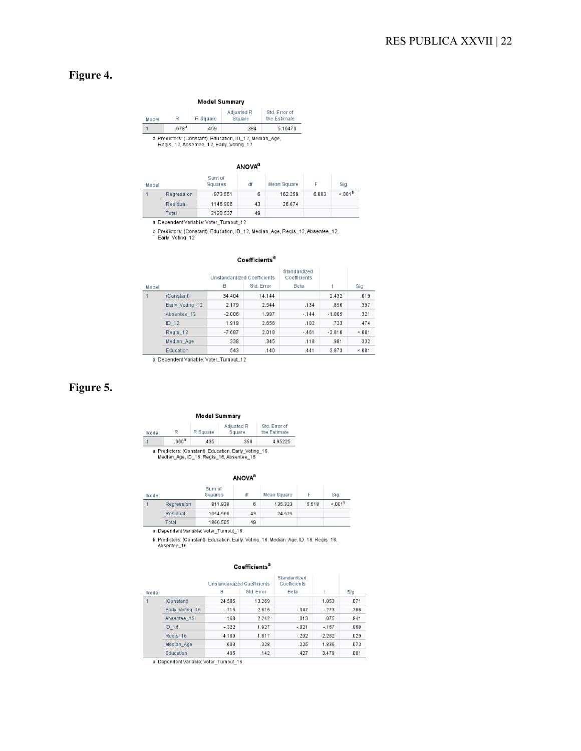# **Figure 4.**

| R                 | R Square | Adjusted R<br>Square | Std. Error of<br>the Estimate                            |
|-------------------|----------|----------------------|----------------------------------------------------------|
| .678 <sup>a</sup> | 459      | .384                 | 5.16470                                                  |
|                   |          |                      | a. Predictors: (Constant), Education, ID_12, Median_Age, |

#### **ANOVA**<sup>a</sup>

| Model |            | Sum of<br>Squares | df | Mean Square |       | Sig.     |
|-------|------------|-------------------|----|-------------|-------|----------|
|       | Regression | 973.551           | 6  | 162.259     | 6.083 | $1001^b$ |
|       | Residual   | 1146.986          | 43 | 26.674      |       |          |
|       | Total      | 2120.537          | 49 |             |       |          |

a. Dependent Variable: Voter\_Turnout\_12

b. Predictors: (Constant), Education, ID\_12, Median\_Age, Regis\_12, Absentee\_12,<br>Early\_Voting\_12

#### Coefficients<sup>a</sup>

|       |                 | Unstandardized Coefficients |            | Standardized<br>Coefficients |          |       |
|-------|-----------------|-----------------------------|------------|------------------------------|----------|-------|
| Model |                 | B                           | Std. Error | Beta                         |          | Sig.  |
|       | (Constant)      | 34.404                      | 14.144     |                              | 2.432    | .019  |
|       | Early Voting 12 | 2.179                       | 2.544      | .134                         | .856     | .397  |
|       | Absentee_12     | $-2.006$                    | 1.997      | $-144$                       | $-1.005$ | .321  |
|       | ID 12           | 1.919                       | 2.656      | .102                         | .723     | .474  |
|       | Regis_12        | $-7.687$                    | 2.018      | $-.461$                      | $-3.810$ | < 001 |
|       | Median Age      | .338                        | .345       | .118                         | .981     | .332  |
|       | Education       | .543                        | .140       | .441                         | 3.873    | < 001 |

a. Dependent Variable: Voter\_Turnout\_12

# **Figure 5.**

#### **Model Summary**

| Model                                                  | R                | R Square | Adjusted R<br>Square | Std. Error of<br>the Estimate |  |  |  |
|--------------------------------------------------------|------------------|----------|----------------------|-------------------------------|--|--|--|
|                                                        | 660 <sup>a</sup> | 435      | .356                 | 4.95225                       |  |  |  |
| a. Predictors: (Constant), Education, Early_Voting_16, |                  |          |                      |                               |  |  |  |

Median\_Age, ID\_16, Regis\_16, Absentee\_16

#### **ANOVA**<sup>a</sup>

| Model |            | Sum of<br>Squares                       | df | Mean Square |       | Sig.               |
|-------|------------|-----------------------------------------|----|-------------|-------|--------------------|
|       | Regression | 811.938                                 | 6  | 135.323     | 5.518 | < 001 <sup>b</sup> |
|       | Residual   | 1054.566                                | 43 | 24.525      |       |                    |
|       | Total      | 1866.505                                | 49 |             |       |                    |
|       |            | a. Dependent Variable: Voter_Turnout_16 |    |             |       |                    |

b. Predictors: (Constant), Education, Early\_Voting\_16, Median\_Age, ID\_16, Regis\_16,<br>Absentee\_16

### Coefficients<sup>a</sup>

|       |                 | Unstandardized Coefficients |            | Standardized<br>Coefficients |          |      |  |
|-------|-----------------|-----------------------------|------------|------------------------------|----------|------|--|
| Model |                 | B                           | Std. Error | Beta                         |          | Sig. |  |
|       | (Constant)      | 24.585                      | 13.269     |                              | 1.853    | .071 |  |
|       | Early Voting 16 | $-715$                      | 2.615      | $-047$                       | $-.273$  | .786 |  |
|       | Absentee 16     | .168                        | 2.242      | .013                         | .075     | .941 |  |
|       | ID 16           | $-322$                      | 1.927      | $-.021$                      | $-167$   | .868 |  |
|       | Regis_16        | $-4.109$                    | 1.817      | $-292$                       | $-2.262$ | .029 |  |
|       | Median Age      | .603                        | .328       | .225                         | 1.836    | .073 |  |
|       | Education       | .495                        | .142       | .427                         | 3.479    | .001 |  |

a. Dependent Variable: Voter\_Turnout\_16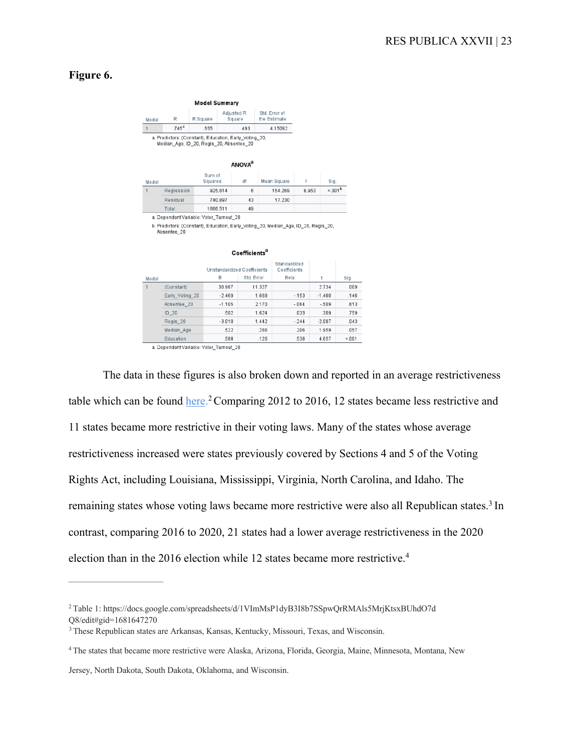# **Figure 6.**

|              |                                                                                                    | <b>Model Summary</b>             |                                                             |                           |                               |         |         |          |                    |  |
|--------------|----------------------------------------------------------------------------------------------------|----------------------------------|-------------------------------------------------------------|---------------------------|-------------------------------|---------|---------|----------|--------------------|--|
| R<br>Model   |                                                                                                    | Adjusted R<br>R Square<br>Square |                                                             |                           | Std. Error of<br>the Estimate |         |         |          |                    |  |
| $\mathbf{1}$ | .745 <sup>a</sup>                                                                                  | .555                             | .493                                                        |                           |                               | 4.15092 |         |          |                    |  |
|              | a. Predictors: (Constant). Education. Early Voting 20.<br>Median Age, ID 20, Regis 20, Absentee 20 |                                  |                                                             |                           |                               |         |         |          |                    |  |
|              |                                                                                                    |                                  |                                                             | <b>ANOVA</b> <sup>a</sup> |                               |         |         |          |                    |  |
| Model        |                                                                                                    | Sum of<br>Squares                | df<br>Mean Square                                           |                           |                               | F       | Sig.    |          |                    |  |
| $\mathbf{1}$ | Regression                                                                                         |                                  | 925.614                                                     | 6                         |                               | 154.269 |         | 8.953    | < 001 <sup>b</sup> |  |
|              | Residual                                                                                           |                                  | 740.897                                                     | 43                        |                               | 17.230  |         |          |                    |  |
|              | Total                                                                                              |                                  | 1666.511                                                    | 49                        |                               |         |         |          |                    |  |
|              | b. Predictors: (Constant), Education, Early_Voting_20, Median_Age, ID_20, Regis_20,<br>Absentee_20 |                                  |                                                             | Coefficients <sup>a</sup> |                               |         |         |          |                    |  |
|              |                                                                                                    |                                  | Standardized<br>Unstandardized Coefficients<br>Coefficients |                           |                               |         |         |          |                    |  |
| Model        |                                                                                                    |                                  | В                                                           | Std. Error                |                               | Beta    |         | t        | Sig.               |  |
| 1            | (Constant)                                                                                         |                                  | 30.967                                                      |                           | 11.327                        |         |         | 2.734    | .009               |  |
|              | Early Voting 20                                                                                    |                                  | $-2.469$                                                    |                           | 1.668                         | $-153$  |         | $-1.480$ | .146               |  |
|              | Absentee_20                                                                                        |                                  | $-1.105$                                                    |                           | 2.170                         |         | $-.064$ | $-.509$  | .613               |  |
|              | $ID_20$                                                                                            |                                  | .502                                                        |                           | 1.624                         |         | .033    | .309     | .759               |  |
|              | Regis_20                                                                                           |                                  | $-3.010$                                                    |                           | 1.442                         |         | $-244$  | $-2.087$ | .043               |  |
|              | Median Age                                                                                         |                                  | 522                                                         |                           | 266                           |         | 206     | 1.959    | .057               |  |

a. Dependent Variable: Voter\_Turnout\_20

.588

 $.126$ 

.538

4.657

 $4.001$ 

Education

The data in these figures is also broken down and reported in an average restrictiveness table which can be found here.<sup>2</sup> Comparing 2012 to 2016, 12 states became less restrictive and 11 states became more restrictive in their voting laws. Many of the states whose average restrictiveness increased were states previously covered by Sections 4 and 5 of the Voting Rights Act, including Louisiana, Mississippi, Virginia, North Carolina, and Idaho. The remaining states whose voting laws became more restrictive were also all Republican states.<sup>3</sup> In contrast, comparing 2016 to 2020, 21 states had a lower average restrictiveness in the 2020 election than in the 2016 election while 12 states became more restrictive.<sup>4</sup>

Jersey, North Dakota, South Dakota, Oklahoma, and Wisconsin.

—–———————————

<sup>2</sup> Table 1: https://docs.google.com/spreadsheets/d/1VImMsP1dyB3I8b7SSpwQrRMAls5MrjKtsxBUhdO7d Q8/edit#gid=1681647270

<sup>3</sup> These Republican states are Arkansas, Kansas, Kentucky, Missouri, Texas, and Wisconsin.

<sup>4</sup> The states that became more restrictive were Alaska, Arizona, Florida, Georgia, Maine, Minnesota, Montana, New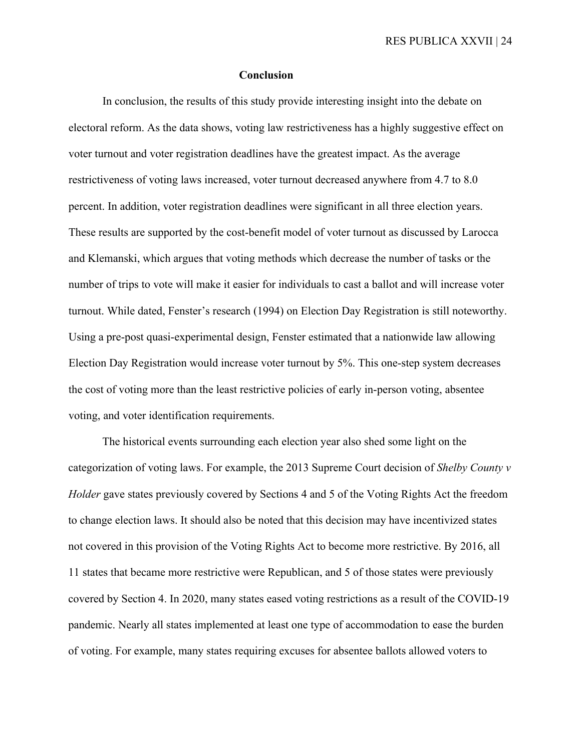## **Conclusion**

In conclusion, the results of this study provide interesting insight into the debate on electoral reform. As the data shows, voting law restrictiveness has a highly suggestive effect on voter turnout and voter registration deadlines have the greatest impact. As the average restrictiveness of voting laws increased, voter turnout decreased anywhere from 4.7 to 8.0 percent. In addition, voter registration deadlines were significant in all three election years. These results are supported by the cost-benefit model of voter turnout as discussed by Larocca and Klemanski, which argues that voting methods which decrease the number of tasks or the number of trips to vote will make it easier for individuals to cast a ballot and will increase voter turnout. While dated, Fenster's research (1994) on Election Day Registration is still noteworthy. Using a pre-post quasi-experimental design, Fenster estimated that a nationwide law allowing Election Day Registration would increase voter turnout by 5%. This one-step system decreases the cost of voting more than the least restrictive policies of early in-person voting, absentee voting, and voter identification requirements.

The historical events surrounding each election year also shed some light on the categorization of voting laws. For example, the 2013 Supreme Court decision of *Shelby County v Holder* gave states previously covered by Sections 4 and 5 of the Voting Rights Act the freedom to change election laws. It should also be noted that this decision may have incentivized states not covered in this provision of the Voting Rights Act to become more restrictive. By 2016, all 11 states that became more restrictive were Republican, and 5 of those states were previously covered by Section 4. In 2020, many states eased voting restrictions as a result of the COVID-19 pandemic. Nearly all states implemented at least one type of accommodation to ease the burden of voting. For example, many states requiring excuses for absentee ballots allowed voters to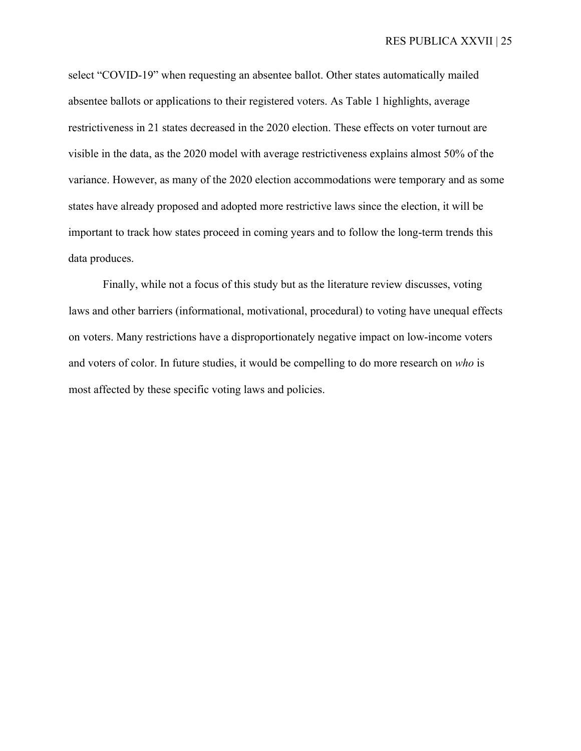select "COVID-19" when requesting an absentee ballot. Other states automatically mailed absentee ballots or applications to their registered voters. As Table 1 highlights, average restrictiveness in 21 states decreased in the 2020 election. These effects on voter turnout are visible in the data, as the 2020 model with average restrictiveness explains almost 50% of the variance. However, as many of the 2020 election accommodations were temporary and as some states have already proposed and adopted more restrictive laws since the election, it will be important to track how states proceed in coming years and to follow the long-term trends this data produces.

Finally, while not a focus of this study but as the literature review discusses, voting laws and other barriers (informational, motivational, procedural) to voting have unequal effects on voters. Many restrictions have a disproportionately negative impact on low-income voters and voters of color. In future studies, it would be compelling to do more research on *who* is most affected by these specific voting laws and policies.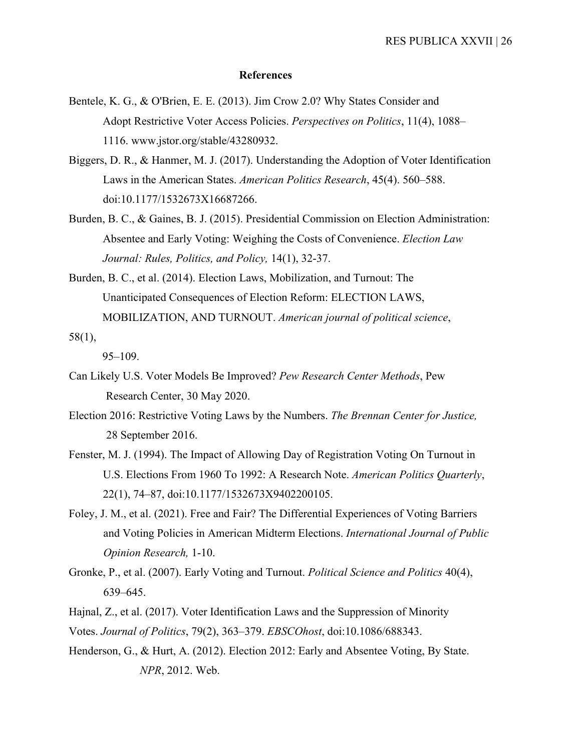## **References**

- Bentele, K. G., & O'Brien, E. E. (2013). Jim Crow 2.0? Why States Consider and Adopt Restrictive Voter Access Policies. *Perspectives on Politics*, 11(4), 1088– 1116. www.jstor.org/stable/43280932.
- Biggers, D. R., & Hanmer, M. J. (2017). Understanding the Adoption of Voter Identification Laws in the American States. *American Politics Research*, 45(4). 560–588. doi:10.1177/1532673X16687266.
- Burden, B. C., & Gaines, B. J. (2015). Presidential Commission on Election Administration: Absentee and Early Voting: Weighing the Costs of Convenience. *Election Law Journal: Rules, Politics, and Policy,* 14(1), 32-37.
- Burden, B. C., et al. (2014). Election Laws, Mobilization, and Turnout: The Unanticipated Consequences of Election Reform: ELECTION LAWS, MOBILIZATION, AND TURNOUT. *American journal of political science*, 58(1),

95–109.

- Can Likely U.S. Voter Models Be Improved? *Pew Research Center Methods*, Pew Research Center, 30 May 2020.
- Election 2016: Restrictive Voting Laws by the Numbers. *The Brennan Center for Justice,*  28 September 2016.
- Fenster, M. J. (1994). The Impact of Allowing Day of Registration Voting On Turnout in U.S. Elections From 1960 To 1992: A Research Note. *American Politics Quarterly*, 22(1), 74–87, doi:10.1177/1532673X9402200105.
- Foley, J. M., et al. (2021). Free and Fair? The Differential Experiences of Voting Barriers and Voting Policies in American Midterm Elections. *International Journal of Public Opinion Research,* 1-10.
- Gronke, P., et al. (2007). Early Voting and Turnout. *Political Science and Politics* 40(4), 639–645.
- Hajnal, Z., et al. (2017). Voter Identification Laws and the Suppression of Minority

Votes. *Journal of Politics*, 79(2), 363–379. *EBSCOhost*, doi:10.1086/688343.

Henderson, G., & Hurt, A. (2012). Election 2012: Early and Absentee Voting, By State. *NPR*, 2012. Web.